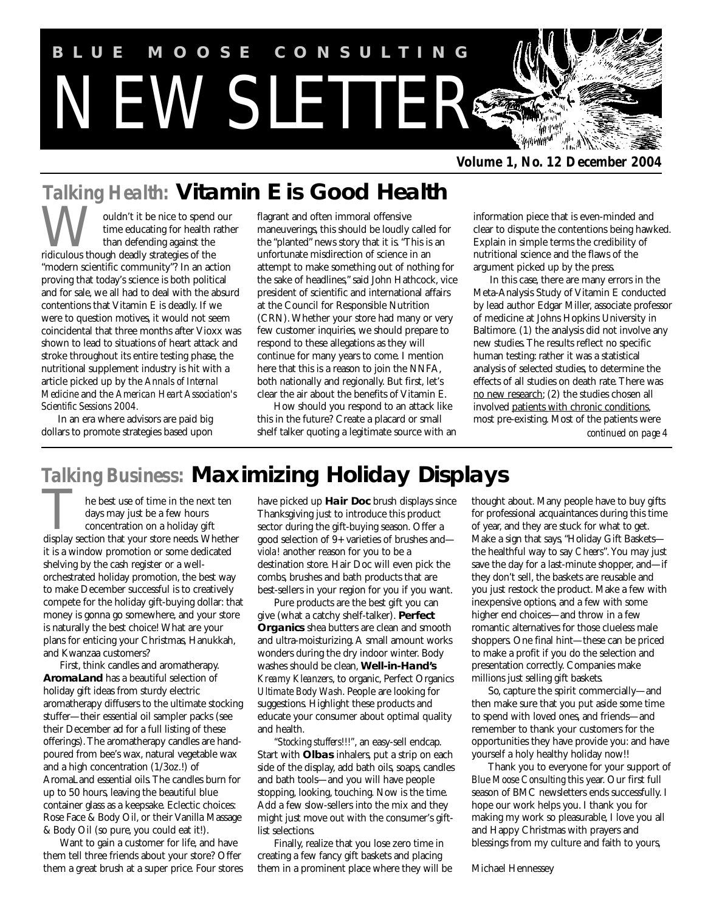

*Volume 1, No. 12 December 2004*

# *Talking Health:* **Vitamin E is Good Health**

ouldn't it be nice to spend our time educating for health rather than defending against the **W** ouldn't it be nice to spend<br>time educating for health is<br>ridiculous though deadly strategies of the "modern scientific community"? In an action proving that today's science is both political and for sale, we all had to deal with the absurd contentions that Vitamin E is deadly. If we were to question motives, it would not seem coincidental that three months after Vioxx was shown to lead to situations of heart attack and stroke throughout its entire testing phase, the nutritional supplement industry is hit with a article picked up by the *Annals of Internal Medicine* and the *American Heart Association's Scientific Sessions 2004.*

In an era where advisors are paid big dollars to promote strategies based upon flagrant and often immoral offensive maneuverings, this should be loudly called for the "planted" news story that it is. "This is an unfortunate misdirection of science in an attempt to make something out of nothing for the sake of headlines," said John Hathcock, vice president of scientific and international affairs at the Council for Responsible Nutrition (CRN). Whether your store had many or very few customer inquiries, we should prepare to respond to these allegations as they will continue for many years to come. I mention here that this is a reason to join the NNFA, both nationally and regionally. But first, let's clear the air about the benefits of Vitamin E.

How should you respond to an attack like this in the future? Create a placard or small shelf talker quoting a legitimate source with an information piece that is even-minded and clear to dispute the contentions being hawked. Explain in simple terms the credibility of nutritional science and the flaws of the argument picked up by the press.

In this case, there are many errors in the Meta-Analysis Study of Vitamin E conducted by lead author Edgar Miller, associate professor of medicine at Johns Hopkins University in Baltimore. (1) the analysis did not involve any new studies. The results reflect no specific human testing: rather it was a statistical analysis of selected studies, to determine the effects of all studies on death rate. There was no new research; (2) the studies chosen all involved patients with chronic conditions, most pre-existing. Most of the patients were *continued on page 4*

# *Talking Business:* **Maximizing Holiday Displays**

he best use of time in the next ten days may just be a few hours concentration on a holiday gift The best use of time in the next ten<br>days may just be a few hours<br>concentration on a holiday gift<br>display section that your store needs. Whether it is a window promotion or some dedicated shelving by the cash register or a wellorchestrated holiday promotion, the best way to make December successful is to creatively compete for the holiday gift-buying dollar: that money is gonna go somewhere, and your store is naturally the best choice! What are your plans for enticing your Christmas, Hanukkah, and Kwanzaa customers?

First, think candles and aromatherapy. **AromaLand** has a beautiful selection of holiday gift ideas from sturdy electric aromatherapy diffusers to the ultimate stocking stuffer—their essential oil sampler packs (see their December ad for a full listing of these offerings). The aromatherapy candles are handpoured from bee's wax, natural vegetable wax and a high concentration (1/3oz.!) of AromaLand essential oils. The candles burn for up to 50 hours, leaving the beautiful blue container glass as a keepsake. Eclectic choices: Rose Face & Body Oil, or their Vanilla Massage & Body Oil (so pure, you could eat it!).

Want to gain a customer for life, and have them tell three friends about your store? Offer them a great brush at a super price. Four stores

have picked up **Hair Doc** brush displays since Thanksgiving just to introduce this product sector during the gift-buying season. Offer a good selection of 9+ varieties of brushes and *viola!* another reason for you to be a destination store. Hair Doc will even pick the combs, brushes and bath products that are best-sellers in your region for you if you want.

Pure products are the best gift you can give (what a catchy shelf-talker). **Perfect Organics** shea butters are clean and smooth and ultra-moisturizing. A small amount works wonders during the dry indoor winter. Body washes should be clean, **Well-in-Hand's** *Kreamy Kleanzers*, to organic, Perfect Organics *Ultimate Body Wash*. People are looking for suggestions. Highlight these products and educate your consumer about optimal quality and health.

*"Stocking stuffers!!!"*, an easy-sell endcap. Start with **Olbas** inhalers, put a strip on each side of the display, add bath oils, soaps, candles and bath tools—and you will have people stopping, looking, touching. Now is the time. Add a few slow-sellers into the mix and they might just move out with the consumer's giftlist selections.

Finally, realize that you lose zero time in creating a few fancy gift baskets and placing them in a prominent place where they will be

thought about. Many people have to buy gifts for professional acquaintances during this time of year, and they are stuck for what to get. Make a sign that says, "Holiday Gift Baskets the healthful way to say *Cheers*". You may just save the day for a last-minute shopper, and—if they don't sell, the baskets are reusable and you just restock the product. Make a few with inexpensive options, and a few with some higher end choices—and throw in a few romantic alternatives for those clueless male shoppers. One final hint—these can be priced to make a profit if you do the selection and presentation correctly. Companies make millions just selling gift baskets.

So, capture the spirit commercially—and then make sure that you put aside some time to spend with loved ones, and friends—and remember to thank your customers for the opportunities they have provide you: and have yourself a holy healthy holiday now!!

Thank you to everyone for your support of *Blue Moose Consulting* this year. Our first full season of BMC newsletters ends successfully. I hope our work helps you. I thank you for making my work so pleasurable, I love you all and Happy Christmas with prayers and blessings from my culture and faith to yours,

Michael Hennessey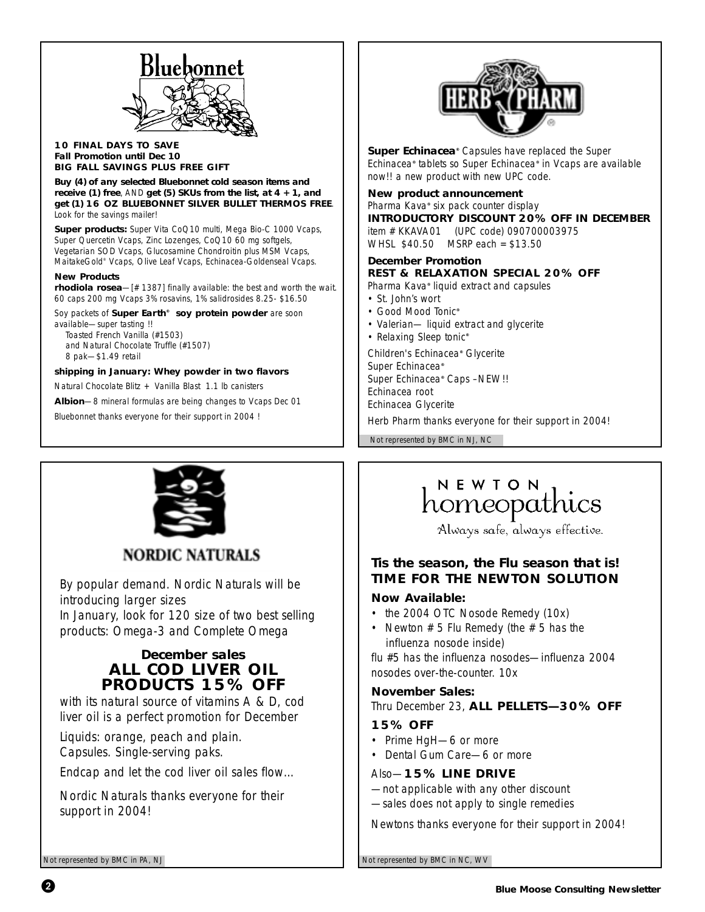

### **10 FINAL DAYS TO SAVE Fall Promotion until Dec 10 BIG FALL SAVINGS PLUS FREE GIFT**

**Buy (4) of any selected Bluebonnet cold season items and receive (1) free**, AND **get (5) SKUs from the list, at 4 + 1, and get (1) 16 OZ BLUEBONNET SILVER BULLET THERMOS FREE**. Look for the savings mailer!

**Super products:** Super Vita CoQ10 multi, Mega Bio-C 1000 Vcaps, Super Quercetin Vcaps, Zinc Lozenges, CoQ10 60 mg softgels, Vegetarian SOD Vcaps, Glucosamine Chondroitin plus MSM Vcaps, MaitakeGold® Vcaps, Olive Leaf Vcaps, Echinacea-Goldenseal Vcaps.

### *New Products*

*rhodiola rosea*—[# 1387] finally available: the best and worth the wait. 60 caps 200 mg Vcaps 3% rosavins, 1% salidrosides 8.25- \$16.50

Soy packets of *Super Earth® soy protein powder* are soon available—super tasting !!

Toasted French Vanilla (#1503) and Natural Chocolate Truffle (#1507) 8 pak—\$1.49 retail

### *shipping in January: Whey powder in two flavors*

Natural Chocolate Blitz + Vanilla Blast 1.1 lb canisters

*Albion*—8 mineral formulas are being changes to Vcaps Dec 01

*Bluebonnet thanks everyone for their support in 2004 !*



**Super Echinacea***®* Capsules have replaced the Super Echinacea*®* tablets so Super Echinacea*®* in Vcaps are available now!! a new product with new UPC code.

### **New product announcement**

Pharma Kava*®* six pack counter display **INTRODUCTORY DISCOUNT 20% OFF IN DECEMBER** item # KKAVA01 (UPC code) 090700003975

WHSL \$40.50 MSRP each = \$13.50

# **December Promotion REST & RELAXATION SPECIAL 20% OFF**

Pharma Kava*®* liquid extract and capsules

- St. John's wort
- Good Mood Tonic*®*
- Valerian— liquid extract and glycerite
- Relaxing Sleep tonic*®*

Children's Echinacea*®* Glycerite Super Echinacea*®* Super Echinacea*®* Caps –NEW!! Echinacea root Echinacea Glycerite

*Herb Pharm thanks everyone for their support in 2004!*

Not represented by BMC in NJ, NC



**NORDIC NATURALS** 

By popular demand. Nordic Naturals will be introducing larger sizes In January, look for 120 size of two best selling products: Omega-3 and Complete Omega

# **December sales ALL COD LIVER OIL PRODUCTS 15% OFF**

with its natural source of vitamins A & D, cod liver oil is a perfect promotion for December

Liquids: orange, peach and plain. Capsules. Single-serving paks.

Endcap and let the cod liver oil sales flow…

*Nordic Naturals thanks everyone for their support in 2004!*

# NEWTON homeopathics

Always safe, always effective.

# **Tis the season, the Flu season that is! TIME FOR THE NEWTON SOLUTION**

### **Now Available:**

- the 2004 OTC Nosode Remedy (10x)
- Newton  $# 5$  Flu Remedy (the  $# 5$  has the influenza nosode inside)

flu #5 has the influenza nosodes—influenza 2004 nosodes over-the-counter. 10x

## **November Sales:**

*Thru December 23,* **ALL PELLETS—30% OFF**

### **15% OFF**

- Prime HgH—6 or more
- Dental Gum Care—6 or more

### *Also—***15% LINE DRIVE**

—not applicable with any other discount —sales does not apply to single remedies

*Newtons thanks everyone for their support in 2004!*

Not represented by BMC in PA, NJ Not represented by BMC in NC, WV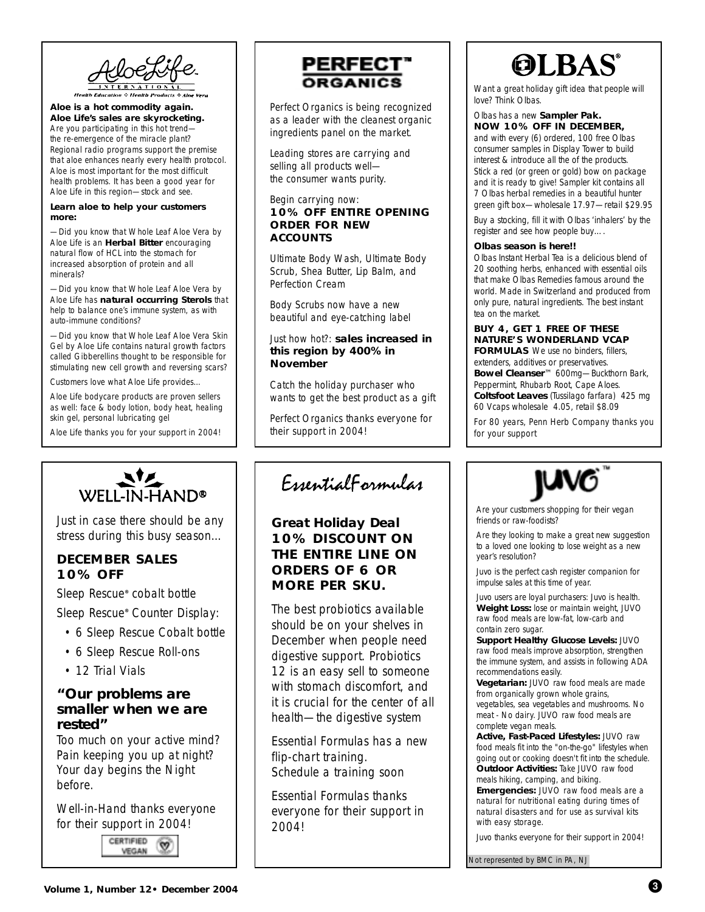AlocLif

**Aloe is a hot commodity again. Aloe Life's sales are skyrocketing.** Are you participating in this hot trend the re-emergence of the miracle plant? Regional radio programs support the premise that aloe enhances nearly every health protocol. Aloe is most important for the most difficult health problems. It has been a good year for Aloe Life in this region—stock and see.

### **Learn aloe to help your customers more:**

—Did you know that Whole Leaf Aloe Vera by Aloe Life is an **Herbal Bitter** encouraging natural flow of HCL into the stomach for increased absorption of protein and all minerals?

—Did you know that Whole Leaf Aloe Vera by Aloe Life has **natural occurring Sterols** that help to balance one's immune system, as with auto-immune conditions?

—Did you know that Whole Leaf Aloe Vera Skin Gel by Aloe Life contains natural growth factors called Gibberellins thought to be responsible for stimulating new cell growth and reversing scars?

Customers love what Aloe Life provides…

Aloe Life bodycare products are proven sellers as well: face & body lotion, body heat, healing skin gel, personal lubricating gel

*Aloe Life thanks you for your support in 2004!*



Perfect Organics is being recognized as a leader with the cleanest organic ingredients panel on the market.

Leading stores are carrying and selling all products well the consumer wants purity.

### Begin carrying now: **10% OFF ENTIRE OPENING ORDER FOR NEW ACCOUNTS**

*Ultimate Body Wash, Ultimate Body Scrub, Shea Butter, Lip Balm, and Perfection Cream*

*Body Scrubs* now have a new beautiful and eye-catching label

### Just how hot?: **sales increased in this region by 400% in November**

Catch the holiday purchaser who wants to get the best product as a gift

*Perfect Organics thanks everyone for their support in 2004!*

 $WELL-IN-HAND<sup>®</sup>$ 

Just in case there should be any stress during this busy season…

# **DECEMBER SALES 10% OFF**

Sleep Rescue*®* cobalt bottle

Sleep Rescue*®* Counter Display:

- 6 Sleep Rescue Cobalt bottle
- 6 Sleep Rescue Roll-ons
- 12 Trial Vials

## **"Our problems are smaller when we are rested"**

Too much on your active mind? Pain keeping you up at night? Your day begins the Night before.

*Well-in-Hand thanks everyone for their support in 2004!*



# EssentialFormulas

# **Great Holiday Deal 10% DISCOUNT ON THE ENTIRE LINE ON ORDERS OF 6 OR MORE PER SKU.**

The best probiotics available should be on your shelves in December when people need digestive support. *Probiotics 12* is an easy sell to someone with stomach discomfort, and it is crucial for the center of all health—the digestive system

*Essential Formulas has a new flip-chart training. Schedule a training soon*

*Essential Formulas thanks everyone for their support in 2004!*

# **OLBAS**

Want a great holiday gift idea that people will love? Think Olbas.

### Olbas has a new **Sampler Pak. NOW 10% OFF IN DECEMBER,**

and with every (6) ordered, 100 free Olbas consumer samples in Display Tower to build interest & introduce all the of the products. Stick a red (or green or gold) bow on package and it is ready to give! Sampler kit contains all 7 Olbas herbal remedies in a beautiful hunter green gift box—wholesale 17.97—retail \$29.95

Buy a stocking, fill it with Olbas 'inhalers' by the register and see how people buy….

### **Olbas season is here!!**

*Olbas Instant Herbal Tea* is a delicious blend of 20 soothing herbs, enhanced with essential oils that make Olbas Remedies famous around the world. Made in Switzerland and produced from only pure, natural ingredients. The best instant tea on the market.

### **BUY 4, GET 1 FREE OF THESE NATURE'S WONDERLAND VCAP**

**FORMULAS** We use no binders, fillers, extenders, additives or preservatives. **Bowel Cleanser**™ 600mg—Buckthorn Bark, Peppermint, Rhubarb Root, Cape Aloes. **Coltsfoot Leaves** (Tussilago farfara) 425 mg 60 Vcaps wholesale 4.05, retail \$8.09

*For 80 years, Penn Herb Company thanks you for your support*



Are your customers shopping for their vegan friends or raw-foodists?

Are they looking to make a great new suggestion to a loved one looking to lose weight as a new year's resolution?

Juvo is the perfect cash register companion for impulse sales at this time of year.

Juvo users are loyal purchasers: Juvo is health. **Weight Loss:** lose or maintain weight, JUVO raw food meals are low-fat, low-carb and contain zero sugar.

**Support Healthy Glucose Levels:** JUVO raw food meals improve absorption, strengthen the immune system, and assists in following ADA recommendations easily.

**Vegetarian:** JUVO raw food meals are made from organically grown whole grains, vegetables, sea vegetables and mushrooms. No meat - No dairy. JUVO raw food meals are complete vegan meals.

**Active, Fast-Paced Lifestyles:** JUVO raw food meals fit into the "on-the-go" lifestyles when going out or cooking doesn't fit into the schedule. **Outdoor Activities:** Take JUVO raw food meals hiking, camping, and biking. **Emergencies:** JUVO raw food meals are a natural for nutritional eating during times of natural disasters and for use as survival kits with easy storage.

*Juvo thanks everyone for their support in 2004!*

Not represented by BMC in PA, NJ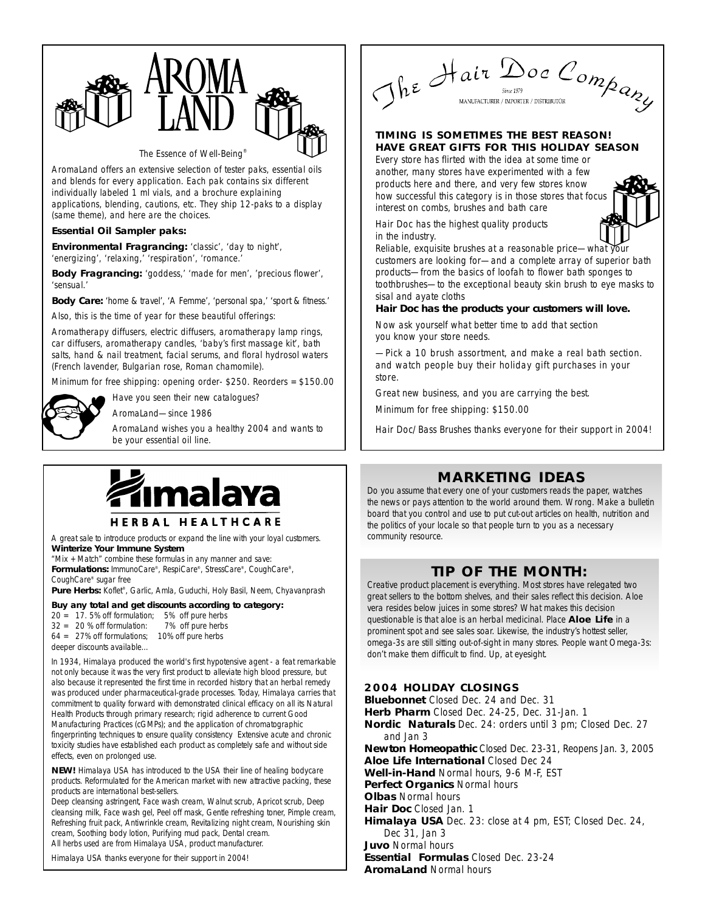

*The Essence of Well-Being®*

AromaLand offers an extensive selection of tester paks, essential oils and blends for every application. Each pak contains six different individually labeled 1 ml vials, and a brochure explaining applications, blending, cautions, etc. They ship 12-paks to a display (same theme), and here are the choices.

### **Essential Oil Sampler paks:**

**Environmental Fragrancing:** 'classic', 'day to night', 'energizing', 'relaxing,' 'respiration', 'romance.'

**Body Fragrancing:** 'goddess,' 'made for men', 'precious flower', 'sensual.'

**Body Care:** 'home & travel', 'A Femme', 'personal spa,' 'sport & fitness.'

Also, this is the time of year for these beautiful offerings:

Aromatherapy diffusers, electric diffusers, aromatherapy lamp rings, car diffusers, aromatherapy candles, 'baby's first massage kit', bath salts, hand & nail treatment, facial serums, and floral hydrosol waters (French lavender, Bulgarian rose, Roman chamomile).

Minimum for free shipping: opening order- \$250. Reorders = \$150.00

Have you seen their new catalogues?



AromaLand—since 1986

*AromaLand wishes you a healthy 2004 and wants to be your essential oil line.*



HERBAL HEALTHCARE

A great sale to introduce products or expand the line with your loyal customers. **Winterize Your Immune System**

"Mix + Match" combine these formulas in any manner and save: **Formulations:** ImmunoCare®, RespiCare®, StressCare®, CoughCare®, CoughCare® sugar free

Pure Herbs: Koflet®, Garlic, Amla, Guduchi, Holy Basil, Neem, Chyavanprash

### **Buy any total and get discounts according to category:**

*20 = 17. 5% off formulation; 5% off pure herbs 32 = 20 % off formulation: 7% off pure herbs*

- *64 = 27% off formulations; 10% off pure herbs*
- *deeper discounts available…*

In 1934, Himalaya produced the world's first hypotensive agent - a feat remarkable not only because it was the very first product to alleviate high blood pressure, but also because it represented the first time in recorded history that an herbal remedy was produced under pharmaceutical-grade processes. Today, Himalaya carries that commitment to quality forward with demonstrated clinical efficacy on all its Natural Health Products through primary research; rigid adherence to current Good Manufacturing Practices (cGMPs); and the application of chromatographic fingerprinting techniques to ensure quality consistency Extensive acute and chronic toxicity studies have established each product as completely safe and without side effects, even on prolonged use.

**NEW!** *Himalaya USA* has introduced to the USA their line of healing bodycare products. Reformulated for the American market with new attractive packing, these products are international best-sellers.

Deep cleansing astringent, Face wash cream, Walnut scrub, Apricot scrub, Deep cleansing milk, Face wash gel, Peel off mask, Gentle refreshing toner, Pimple cream, Refreshing fruit pack, Antiwrinkle cream, Revitalizing night cream, Nourishing skin cream, Soothing body lotion, Purifying mud pack, Dental cream. All herbs used are from Himalaya USA, product manufacturer.

*Himalaya USA thanks everyone for their support in 2004!*

The Hair Doc Company

### **TIMING IS SOMETIMES THE BEST REASON! HAVE GREAT GIFTS FOR THIS HOLIDAY SEASON**

Every store has flirted with the idea at some time or another, many stores have experimented with a few products here and there, and very few stores know how successful this category is in those stores that focus interest on combs, brushes and bath care



Hair Doc has the highest quality products in the industry.

Reliable, exquisite brushes at a reasonable price—what  $\bar{y}$ customers are looking for—and a complete array of superior bath products—from the basics of loofah to flower bath sponges to toothbrushes—to the exceptional beauty skin brush to eye masks to sisal and ayate cloths

### *Hair Doc has the products your customers will love.*

Now ask yourself what better time to add that section you know your store needs.

—Pick a 10 brush assortment, and make a real bath section. and watch people buy their holiday gift purchases in your store.

Great new business, and you are carrying the best.

Minimum for free shipping: \$150.00

Hair Doc/Bass Brushes thanks everyone for their support in 2004!

# **MARKETING IDEAS**

Do you assume that every one of your customers reads the paper, watches the news or pays attention to the world around them. Wrong. Make a bulletin board that you control and use to put cut-out articles on health, nutrition and the politics of your locale so that people turn to you as a necessary community resource.

# **TIP OF THE MONTH:**

Creative product placement is everything. Most stores have relegated two great sellers to the bottom shelves, and their sales reflect this decision. Aloe vera resides below juices in some stores? What makes this decision questionable is that aloe is an herbal medicinal. Place **Aloe Life** in a prominent spot and see sales soar. Likewise, the industry's hottest seller, omega-3s are still sitting out-of-sight in many stores. People want Omega-3s: don't make them difficult to find. Up, at eyesight.

## **2004 HOLIDAY CLOSINGS**

**Bluebonnet** Closed Dec. 24 and Dec. 31 **Herb Pharm** Closed Dec. 24-25, Dec. 31-Jan. 1 **Nordic Naturals** Dec. 24: orders until 3 pm; Closed Dec. 27 and Jan 3 **Newton Homeopathic** Closed Dec. 23-31, Reopens Jan. 3, 2005 **Aloe Life International** Closed Dec 24 **Well-in-Hand** Normal hours, 9-6 M-F, EST **Perfect Organics** Normal hours **Olbas** Normal hours **Hair Doc** Closed Jan. 1 **Himalaya USA** Dec. 23: close at 4 pm, EST; Closed Dec. 24, Dec 31, Jan 3 **Juvo** Normal hours **Essential Formulas** Closed Dec. 23-24

**AromaLand** Normal hours